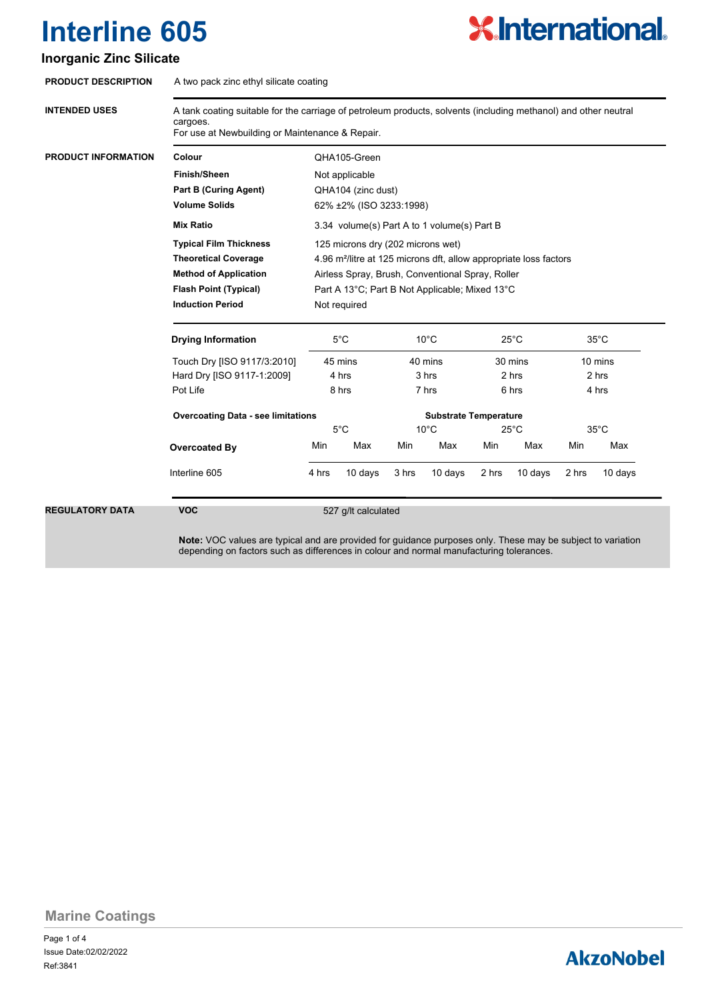# **X.International.**

### **Inorganic Zinc Silicate**

| <b>INTENDED USES</b>                                                                                                               | A tank coating suitable for the carriage of petroleum products, solvents (including methanol) and other neutral<br>cargoes.<br>For use at Newbuilding or Maintenance & Repair. |                                                                                                                                                                        |         |                                             |         |                                             |         |                                             |         |
|------------------------------------------------------------------------------------------------------------------------------------|--------------------------------------------------------------------------------------------------------------------------------------------------------------------------------|------------------------------------------------------------------------------------------------------------------------------------------------------------------------|---------|---------------------------------------------|---------|---------------------------------------------|---------|---------------------------------------------|---------|
| <b>PRODUCT INFORMATION</b>                                                                                                         | Colour                                                                                                                                                                         | OHA105-Green                                                                                                                                                           |         |                                             |         |                                             |         |                                             |         |
|                                                                                                                                    | <b>Finish/Sheen</b>                                                                                                                                                            | Not applicable                                                                                                                                                         |         |                                             |         |                                             |         |                                             |         |
|                                                                                                                                    | <b>Part B (Curing Agent)</b>                                                                                                                                                   | QHA104 (zinc dust)                                                                                                                                                     |         |                                             |         |                                             |         |                                             |         |
|                                                                                                                                    | <b>Volume Solids</b>                                                                                                                                                           | 62% ±2% (ISO 3233:1998)                                                                                                                                                |         |                                             |         |                                             |         |                                             |         |
|                                                                                                                                    | <b>Mix Ratio</b>                                                                                                                                                               | 3.34 volume(s) Part A to 1 volume(s) Part B                                                                                                                            |         |                                             |         |                                             |         |                                             |         |
|                                                                                                                                    | <b>Typical Film Thickness</b>                                                                                                                                                  | 125 microns dry (202 microns wet)<br>4.96 m <sup>2</sup> /litre at 125 microns dft, allow appropriate loss factors<br>Airless Spray, Brush, Conventional Spray, Roller |         |                                             |         |                                             |         |                                             |         |
|                                                                                                                                    | <b>Theoretical Coverage</b>                                                                                                                                                    |                                                                                                                                                                        |         |                                             |         |                                             |         |                                             |         |
|                                                                                                                                    | <b>Method of Application</b>                                                                                                                                                   |                                                                                                                                                                        |         |                                             |         |                                             |         |                                             |         |
| <b>Flash Point (Typical)</b><br><b>Induction Period</b><br><b>Drying Information</b><br>Pot Life<br>Overcoated By<br>Interline 605 |                                                                                                                                                                                | Part A 13°C; Part B Not Applicable; Mixed 13°C                                                                                                                         |         |                                             |         |                                             |         |                                             |         |
|                                                                                                                                    |                                                                                                                                                                                | Not required                                                                                                                                                           |         |                                             |         |                                             |         |                                             |         |
|                                                                                                                                    |                                                                                                                                                                                | $5^{\circ}$ C<br>45 mins<br>4 hrs<br>8 hrs                                                                                                                             |         | $10^{\circ}$ C<br>40 mins<br>3 hrs<br>7 hrs |         | $25^{\circ}$ C<br>30 mins<br>2 hrs<br>6 hrs |         | $35^{\circ}$ C<br>10 mins<br>2 hrs<br>4 hrs |         |
|                                                                                                                                    | Touch Dry [ISO 9117/3:2010]                                                                                                                                                    |                                                                                                                                                                        |         |                                             |         |                                             |         |                                             |         |
|                                                                                                                                    | Hard Dry [ISO 9117-1:2009]                                                                                                                                                     |                                                                                                                                                                        |         |                                             |         |                                             |         |                                             |         |
|                                                                                                                                    |                                                                                                                                                                                |                                                                                                                                                                        |         |                                             |         |                                             |         |                                             |         |
|                                                                                                                                    | <b>Overcoating Data - see limitations</b><br><b>Substrate Temperature</b>                                                                                                      |                                                                                                                                                                        |         |                                             |         |                                             |         |                                             |         |
|                                                                                                                                    |                                                                                                                                                                                | $5^{\circ}$ C                                                                                                                                                          |         | $10^{\circ}$ C                              |         | $25^{\circ}$ C                              |         | $35^{\circ}$ C                              |         |
|                                                                                                                                    |                                                                                                                                                                                | Min                                                                                                                                                                    | Max     | Min                                         | Max     | Min                                         | Max     | Min                                         | Max     |
|                                                                                                                                    |                                                                                                                                                                                | 4 hrs                                                                                                                                                                  | 10 days | 3 hrs                                       | 10 days | 2 hrs                                       | 10 days | 2 hrs                                       | 10 days |
| <b>REGULATORY DATA</b>                                                                                                             |                                                                                                                                                                                | 527 g/lt calculated                                                                                                                                                    |         |                                             |         |                                             |         |                                             |         |

### **Marine Coatings**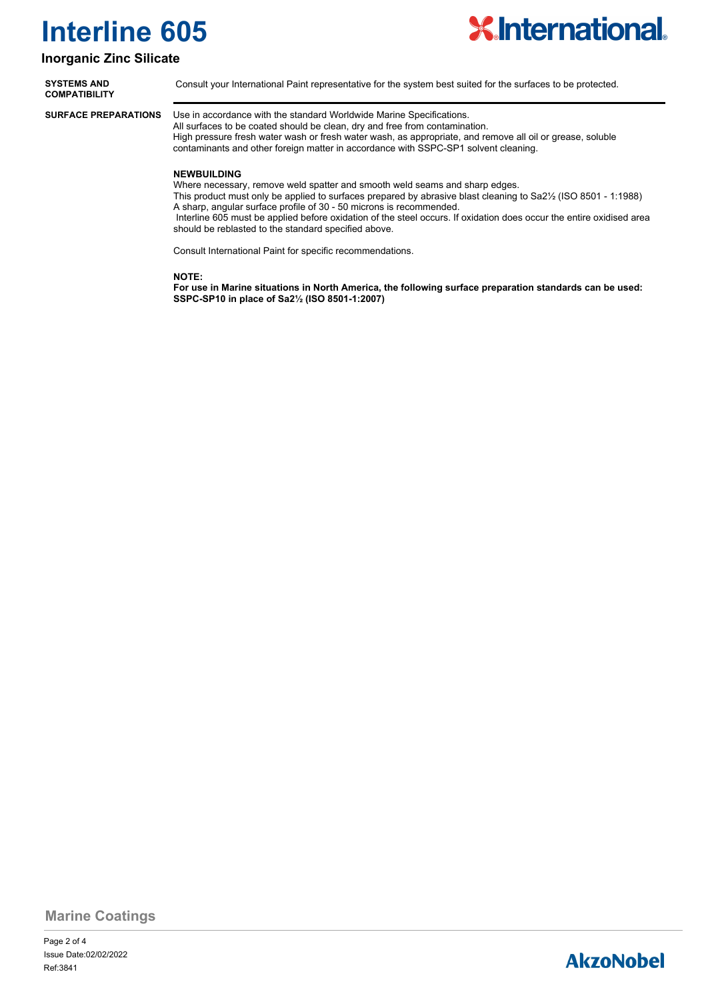

### **Inorganic Zinc Silicate**

| <b>SYSTEMS AND</b><br>COMPATIBILITY | Consult your International Paint representative for the system best suited for the surfaces to be protected.                                                                                                                                                                                                                                            |  |  |  |  |  |  |
|-------------------------------------|---------------------------------------------------------------------------------------------------------------------------------------------------------------------------------------------------------------------------------------------------------------------------------------------------------------------------------------------------------|--|--|--|--|--|--|
| <b>SURFACE PREPARATIONS</b>         | Use in accordance with the standard Worldwide Marine Specifications.<br>All surfaces to be coated should be clean, dry and free from contamination.<br>High pressure fresh water wash or fresh water wash, as appropriate, and remove all oil or grease, soluble<br>contaminants and other foreign matter in accordance with SSPC-SP1 solvent cleaning. |  |  |  |  |  |  |

#### **NEWBUILDING**

Where necessary, remove weld spatter and smooth weld seams and sharp edges.

This product must only be applied to surfaces prepared by abrasive blast cleaning to Sa2½ (ISO 8501 - 1:1988) A sharp, angular surface profile of 30 - 50 microns is recommended.

 Interline 605 must be applied before oxidation of the steel occurs. If oxidation does occur the entire oxidised area should be reblasted to the standard specified above.

Consult International Paint for specific recommendations.

#### **NOTE:**

**For use in Marine situations in North America, the following surface preparation standards can be used: SSPC-SP10 in place of Sa2½ (ISO 8501-1:2007)**

**Marine Coatings**

Page 2 of 4 Ref:3841 Issue Date:02/02/2022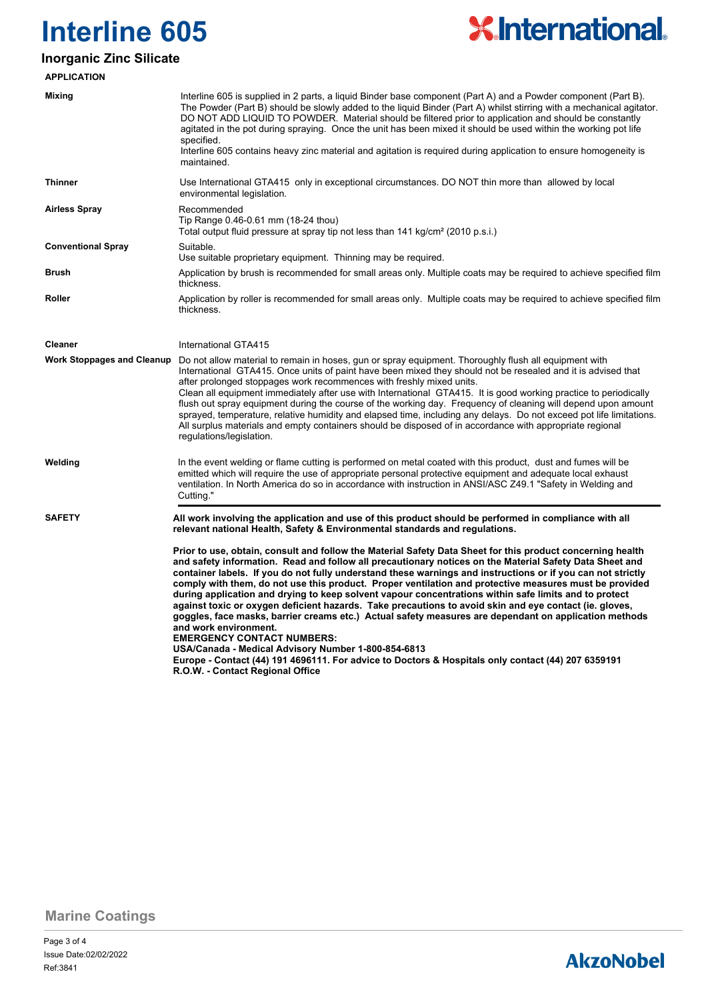

### **Inorganic Zinc Silicate**

| <b>APPLICATION</b>                |                                                                                                                                                                                                                                                                                                                                                                                                                                                                                                                                                                                                                                                                                                                                                                                                                                                                                                                                                                                                                                                                                                                                                                                                                                   |
|-----------------------------------|-----------------------------------------------------------------------------------------------------------------------------------------------------------------------------------------------------------------------------------------------------------------------------------------------------------------------------------------------------------------------------------------------------------------------------------------------------------------------------------------------------------------------------------------------------------------------------------------------------------------------------------------------------------------------------------------------------------------------------------------------------------------------------------------------------------------------------------------------------------------------------------------------------------------------------------------------------------------------------------------------------------------------------------------------------------------------------------------------------------------------------------------------------------------------------------------------------------------------------------|
| Mixing                            | Interline 605 is supplied in 2 parts, a liquid Binder base component (Part A) and a Powder component (Part B).<br>The Powder (Part B) should be slowly added to the liquid Binder (Part A) whilst stirring with a mechanical agitator.<br>DO NOT ADD LIQUID TO POWDER. Material should be filtered prior to application and should be constantly<br>agitated in the pot during spraying. Once the unit has been mixed it should be used within the working pot life<br>specified.<br>Interline 605 contains heavy zinc material and agitation is required during application to ensure homogeneity is<br>maintained.                                                                                                                                                                                                                                                                                                                                                                                                                                                                                                                                                                                                              |
| <b>Thinner</b>                    | Use International GTA415 only in exceptional circumstances. DO NOT thin more than allowed by local<br>environmental legislation.                                                                                                                                                                                                                                                                                                                                                                                                                                                                                                                                                                                                                                                                                                                                                                                                                                                                                                                                                                                                                                                                                                  |
| <b>Airless Spray</b>              | Recommended<br>Tip Range 0.46-0.61 mm (18-24 thou)<br>Total output fluid pressure at spray tip not less than 141 kg/cm <sup>2</sup> (2010 p.s.i.)                                                                                                                                                                                                                                                                                                                                                                                                                                                                                                                                                                                                                                                                                                                                                                                                                                                                                                                                                                                                                                                                                 |
| <b>Conventional Spray</b>         | Suitable.<br>Use suitable proprietary equipment. Thinning may be required.                                                                                                                                                                                                                                                                                                                                                                                                                                                                                                                                                                                                                                                                                                                                                                                                                                                                                                                                                                                                                                                                                                                                                        |
| Brush                             | Application by brush is recommended for small areas only. Multiple coats may be required to achieve specified film<br>thickness.                                                                                                                                                                                                                                                                                                                                                                                                                                                                                                                                                                                                                                                                                                                                                                                                                                                                                                                                                                                                                                                                                                  |
| Roller                            | Application by roller is recommended for small areas only. Multiple coats may be required to achieve specified film<br>thickness.                                                                                                                                                                                                                                                                                                                                                                                                                                                                                                                                                                                                                                                                                                                                                                                                                                                                                                                                                                                                                                                                                                 |
| <b>Cleaner</b>                    | International GTA415                                                                                                                                                                                                                                                                                                                                                                                                                                                                                                                                                                                                                                                                                                                                                                                                                                                                                                                                                                                                                                                                                                                                                                                                              |
| <b>Work Stoppages and Cleanup</b> | Do not allow material to remain in hoses, gun or spray equipment. Thoroughly flush all equipment with<br>International GTA415. Once units of paint have been mixed they should not be resealed and it is advised that<br>after prolonged stoppages work recommences with freshly mixed units.<br>Clean all equipment immediately after use with International GTA415. It is good working practice to periodically<br>flush out spray equipment during the course of the working day. Frequency of cleaning will depend upon amount<br>sprayed, temperature, relative humidity and elapsed time, including any delays. Do not exceed pot life limitations.<br>All surplus materials and empty containers should be disposed of in accordance with appropriate regional<br>regulations/legislation.                                                                                                                                                                                                                                                                                                                                                                                                                                 |
| Welding                           | In the event welding or flame cutting is performed on metal coated with this product, dust and fumes will be<br>emitted which will require the use of appropriate personal protective equipment and adequate local exhaust<br>ventilation. In North America do so in accordance with instruction in ANSI/ASC Z49.1 "Safety in Welding and<br>Cutting."                                                                                                                                                                                                                                                                                                                                                                                                                                                                                                                                                                                                                                                                                                                                                                                                                                                                            |
| <b>SAFETY</b>                     | All work involving the application and use of this product should be performed in compliance with all<br>relevant national Health, Safety & Environmental standards and regulations.<br>Prior to use, obtain, consult and follow the Material Safety Data Sheet for this product concerning health<br>and safety information. Read and follow all precautionary notices on the Material Safety Data Sheet and<br>container labels. If you do not fully understand these warnings and instructions or if you can not strictly<br>comply with them, do not use this product. Proper ventilation and protective measures must be provided<br>during application and drying to keep solvent vapour concentrations within safe limits and to protect<br>against toxic or oxygen deficient hazards. Take precautions to avoid skin and eye contact (ie. gloves,<br>goggles, face masks, barrier creams etc.) Actual safety measures are dependant on application methods<br>and work environment.<br><b>EMERGENCY CONTACT NUMBERS:</b><br>USA/Canada - Medical Advisory Number 1-800-854-6813<br>Europe - Contact (44) 191 4696111. For advice to Doctors & Hospitals only contact (44) 207 6359191<br>R.O.W. - Contact Regional Office |

**Marine Coatings**